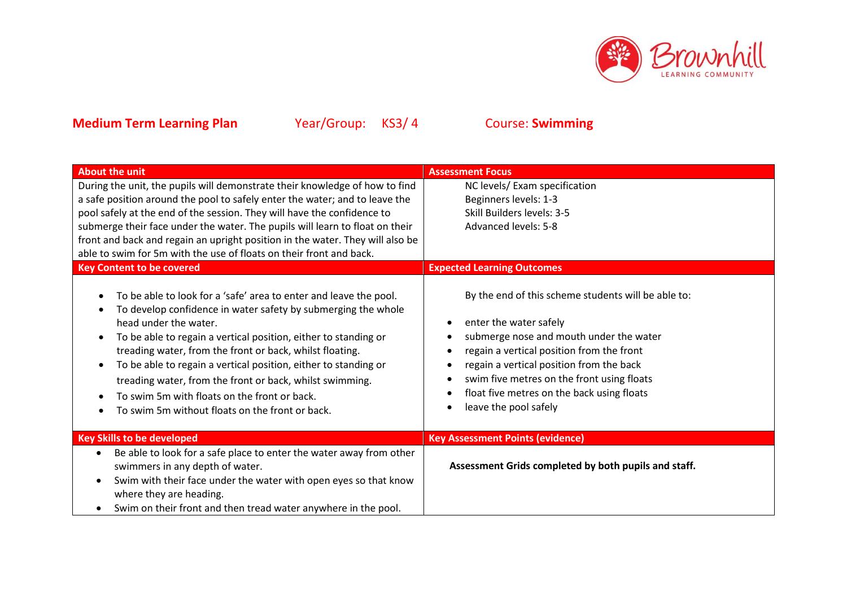

| <b>About the unit</b>                                                                                                                                                                                                                                                                                                                                                                                                                                                                                                                                  | <b>Assessment Focus</b>                                                                                                                                                                                                                                                                                                                |  |  |
|--------------------------------------------------------------------------------------------------------------------------------------------------------------------------------------------------------------------------------------------------------------------------------------------------------------------------------------------------------------------------------------------------------------------------------------------------------------------------------------------------------------------------------------------------------|----------------------------------------------------------------------------------------------------------------------------------------------------------------------------------------------------------------------------------------------------------------------------------------------------------------------------------------|--|--|
| During the unit, the pupils will demonstrate their knowledge of how to find                                                                                                                                                                                                                                                                                                                                                                                                                                                                            | NC levels/ Exam specification                                                                                                                                                                                                                                                                                                          |  |  |
| a safe position around the pool to safely enter the water; and to leave the                                                                                                                                                                                                                                                                                                                                                                                                                                                                            | Beginners levels: 1-3                                                                                                                                                                                                                                                                                                                  |  |  |
| pool safely at the end of the session. They will have the confidence to                                                                                                                                                                                                                                                                                                                                                                                                                                                                                | Skill Builders levels: 3-5                                                                                                                                                                                                                                                                                                             |  |  |
| submerge their face under the water. The pupils will learn to float on their                                                                                                                                                                                                                                                                                                                                                                                                                                                                           | Advanced levels: 5-8                                                                                                                                                                                                                                                                                                                   |  |  |
| front and back and regain an upright position in the water. They will also be                                                                                                                                                                                                                                                                                                                                                                                                                                                                          |                                                                                                                                                                                                                                                                                                                                        |  |  |
| able to swim for 5m with the use of floats on their front and back.                                                                                                                                                                                                                                                                                                                                                                                                                                                                                    |                                                                                                                                                                                                                                                                                                                                        |  |  |
| <b>Key Content to be covered</b>                                                                                                                                                                                                                                                                                                                                                                                                                                                                                                                       | <b>Expected Learning Outcomes</b>                                                                                                                                                                                                                                                                                                      |  |  |
| To be able to look for a 'safe' area to enter and leave the pool.<br>To develop confidence in water safety by submerging the whole<br>head under the water.<br>To be able to regain a vertical position, either to standing or<br>treading water, from the front or back, whilst floating.<br>To be able to regain a vertical position, either to standing or<br>$\bullet$<br>treading water, from the front or back, whilst swimming.<br>To swim 5m with floats on the front or back.<br>To swim 5m without floats on the front or back.<br>$\bullet$ | By the end of this scheme students will be able to:<br>enter the water safely<br>submerge nose and mouth under the water<br>regain a vertical position from the front<br>regain a vertical position from the back<br>swim five metres on the front using floats<br>float five metres on the back using floats<br>leave the pool safely |  |  |
| <b>Key Skills to be developed</b>                                                                                                                                                                                                                                                                                                                                                                                                                                                                                                                      | <b>Key Assessment Points (evidence)</b>                                                                                                                                                                                                                                                                                                |  |  |
| Be able to look for a safe place to enter the water away from other<br>$\bullet$                                                                                                                                                                                                                                                                                                                                                                                                                                                                       |                                                                                                                                                                                                                                                                                                                                        |  |  |
| swimmers in any depth of water.                                                                                                                                                                                                                                                                                                                                                                                                                                                                                                                        | Assessment Grids completed by both pupils and staff.                                                                                                                                                                                                                                                                                   |  |  |
| Swim with their face under the water with open eyes so that know<br>$\bullet$<br>where they are heading.                                                                                                                                                                                                                                                                                                                                                                                                                                               |                                                                                                                                                                                                                                                                                                                                        |  |  |
| Swim on their front and then tread water anywhere in the pool.                                                                                                                                                                                                                                                                                                                                                                                                                                                                                         |                                                                                                                                                                                                                                                                                                                                        |  |  |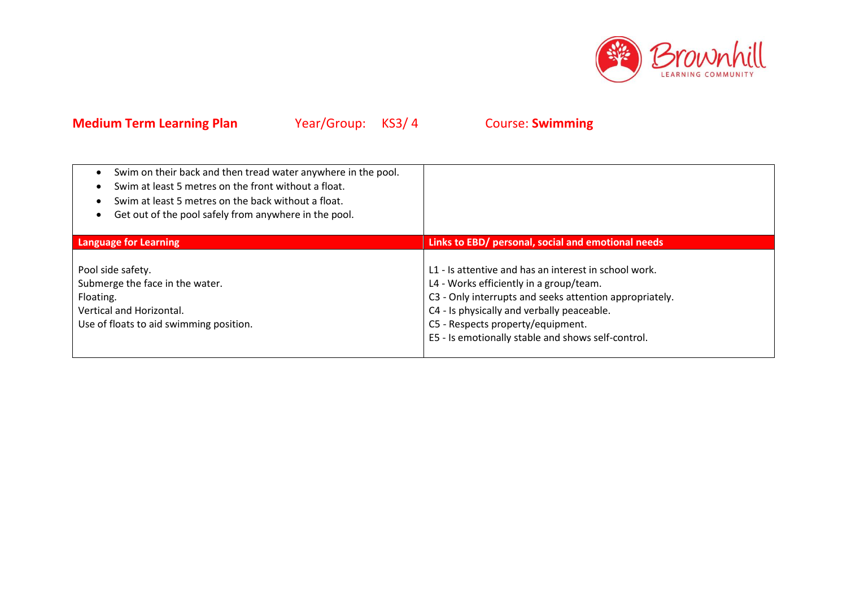

| Swim on their back and then tread water anywhere in the pool.<br>Swim at least 5 metres on the front without a float.<br>Swim at least 5 metres on the back without a float.<br>Get out of the pool safely from anywhere in the pool. |                                                                                                                                                                                                                                                                                                      |
|---------------------------------------------------------------------------------------------------------------------------------------------------------------------------------------------------------------------------------------|------------------------------------------------------------------------------------------------------------------------------------------------------------------------------------------------------------------------------------------------------------------------------------------------------|
| <b>Language for Learning</b>                                                                                                                                                                                                          | Links to EBD/ personal, social and emotional needs                                                                                                                                                                                                                                                   |
| Pool side safety.<br>Submerge the face in the water.<br>Floating.<br>Vertical and Horizontal.<br>Use of floats to aid swimming position.                                                                                              | L1 - Is attentive and has an interest in school work.<br>L4 - Works efficiently in a group/team.<br>C3 - Only interrupts and seeks attention appropriately.<br>C4 - Is physically and verbally peaceable.<br>C5 - Respects property/equipment.<br>E5 - Is emotionally stable and shows self-control. |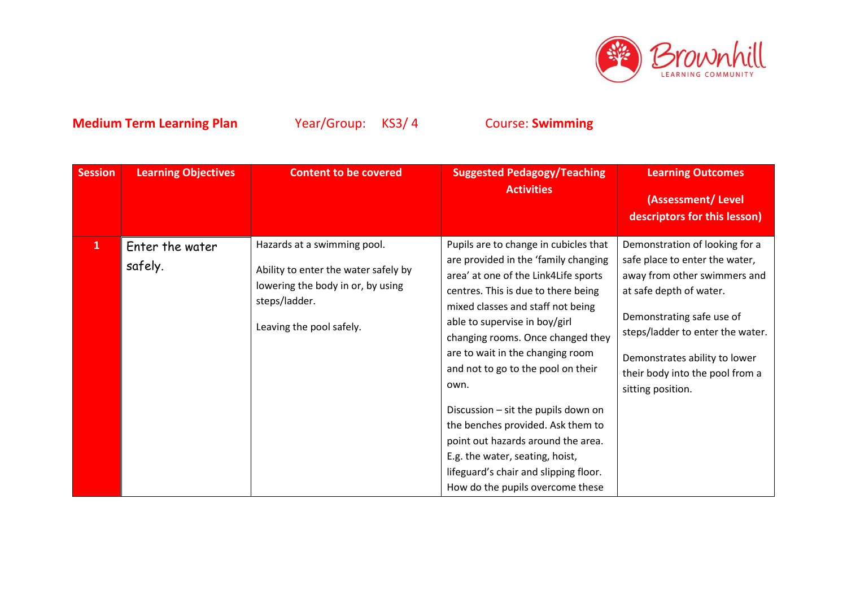

| <b>Session</b> | <b>Learning Objectives</b> | <b>Content to be covered</b>                                                                                                                          | <b>Suggested Pedagogy/Teaching</b><br><b>Activities</b>                                                                                                                                                                                                                                                                                                                                                                                                                                                                                                                                     | <b>Learning Outcomes</b><br>(Assessment/Level                                                                                                                                                                                                                                         |
|----------------|----------------------------|-------------------------------------------------------------------------------------------------------------------------------------------------------|---------------------------------------------------------------------------------------------------------------------------------------------------------------------------------------------------------------------------------------------------------------------------------------------------------------------------------------------------------------------------------------------------------------------------------------------------------------------------------------------------------------------------------------------------------------------------------------------|---------------------------------------------------------------------------------------------------------------------------------------------------------------------------------------------------------------------------------------------------------------------------------------|
|                |                            |                                                                                                                                                       |                                                                                                                                                                                                                                                                                                                                                                                                                                                                                                                                                                                             | descriptors for this lesson)                                                                                                                                                                                                                                                          |
| $\mathbf{1}$   | Enter the water<br>safely. | Hazards at a swimming pool.<br>Ability to enter the water safely by<br>lowering the body in or, by using<br>steps/ladder.<br>Leaving the pool safely. | Pupils are to change in cubicles that<br>are provided in the 'family changing<br>area' at one of the Link4Life sports<br>centres. This is due to there being<br>mixed classes and staff not being<br>able to supervise in boy/girl<br>changing rooms. Once changed they<br>are to wait in the changing room<br>and not to go to the pool on their<br>own.<br>Discussion - sit the pupils down on<br>the benches provided. Ask them to<br>point out hazards around the area.<br>E.g. the water, seating, hoist,<br>lifeguard's chair and slipping floor.<br>How do the pupils overcome these | Demonstration of looking for a<br>safe place to enter the water,<br>away from other swimmers and<br>at safe depth of water.<br>Demonstrating safe use of<br>steps/ladder to enter the water.<br>Demonstrates ability to lower<br>their body into the pool from a<br>sitting position. |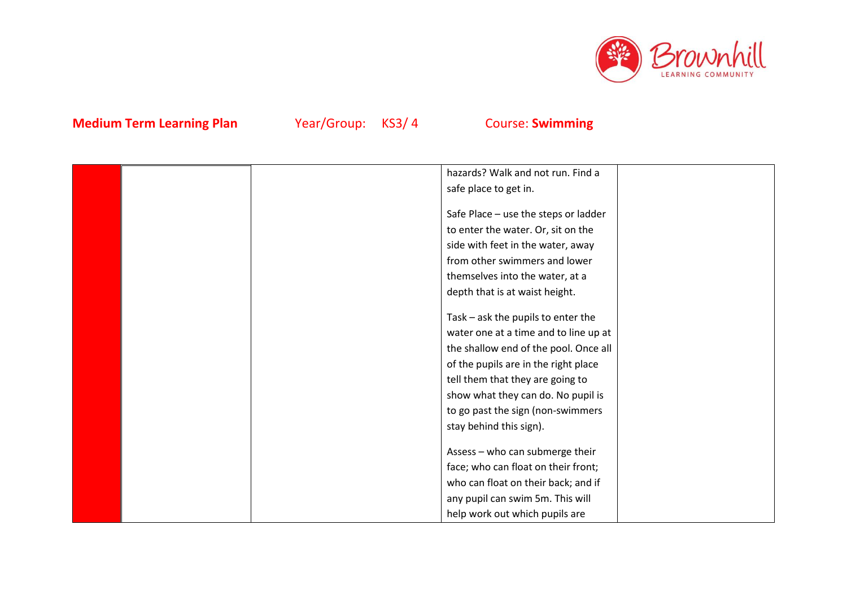

|  | hazards? Walk and not run. Find a     |
|--|---------------------------------------|
|  | safe place to get in.                 |
|  |                                       |
|  | Safe Place - use the steps or ladder  |
|  | to enter the water. Or, sit on the    |
|  | side with feet in the water, away     |
|  | from other swimmers and lower         |
|  | themselves into the water, at a       |
|  | depth that is at waist height.        |
|  |                                       |
|  | Task - ask the pupils to enter the    |
|  | water one at a time and to line up at |
|  | the shallow end of the pool. Once all |
|  | of the pupils are in the right place  |
|  | tell them that they are going to      |
|  | show what they can do. No pupil is    |
|  | to go past the sign (non-swimmers     |
|  | stay behind this sign).               |
|  |                                       |
|  | Assess - who can submerge their       |
|  | face; who can float on their front;   |
|  | who can float on their back; and if   |
|  | any pupil can swim 5m. This will      |
|  | help work out which pupils are        |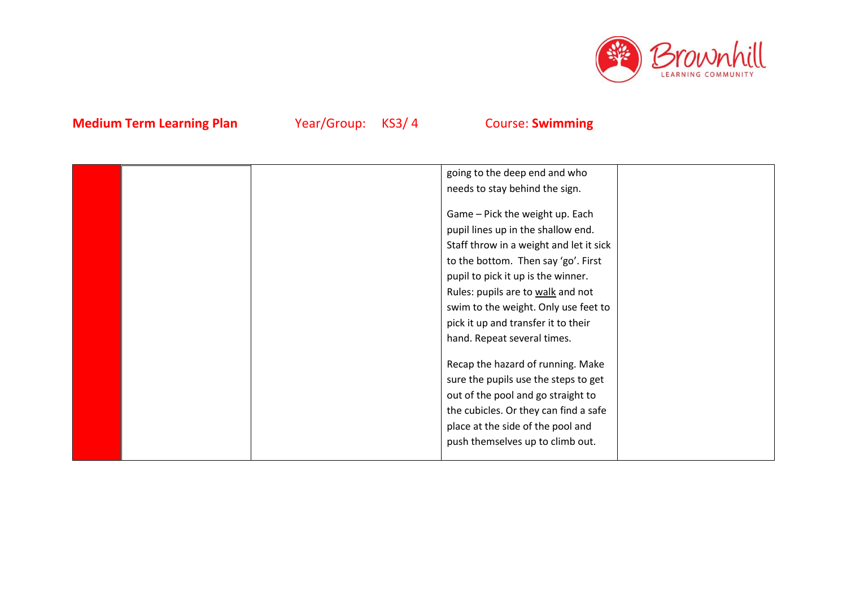

|  | going to the deep end and who           |  |
|--|-----------------------------------------|--|
|  | needs to stay behind the sign.          |  |
|  |                                         |  |
|  | Game - Pick the weight up. Each         |  |
|  | pupil lines up in the shallow end.      |  |
|  | Staff throw in a weight and let it sick |  |
|  | to the bottom. Then say 'go'. First     |  |
|  | pupil to pick it up is the winner.      |  |
|  | Rules: pupils are to walk and not       |  |
|  | swim to the weight. Only use feet to    |  |
|  | pick it up and transfer it to their     |  |
|  | hand. Repeat several times.             |  |
|  |                                         |  |
|  | Recap the hazard of running. Make       |  |
|  | sure the pupils use the steps to get    |  |
|  | out of the pool and go straight to      |  |
|  | the cubicles. Or they can find a safe   |  |
|  | place at the side of the pool and       |  |
|  | push themselves up to climb out.        |  |
|  |                                         |  |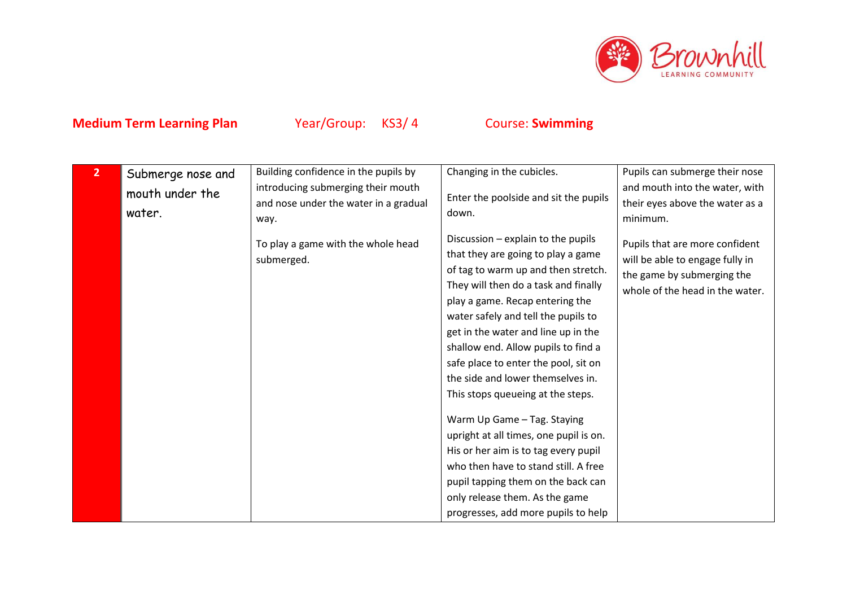

| $\overline{2}$ | Submerge nose and<br>mouth under the<br>water. | Building confidence in the pupils by<br>introducing submerging their mouth<br>and nose under the water in a gradual<br>way. | Changing in the cubicles.<br>Enter the poolside and sit the pupils<br>down.                                                                                                                                                                                                                                                                                                                                                                                                                                                                                                                                                                                                                               | Pupils can submerge their nose<br>and mouth into the water, with<br>their eyes above the water as a<br>minimum.                    |
|----------------|------------------------------------------------|-----------------------------------------------------------------------------------------------------------------------------|-----------------------------------------------------------------------------------------------------------------------------------------------------------------------------------------------------------------------------------------------------------------------------------------------------------------------------------------------------------------------------------------------------------------------------------------------------------------------------------------------------------------------------------------------------------------------------------------------------------------------------------------------------------------------------------------------------------|------------------------------------------------------------------------------------------------------------------------------------|
|                |                                                | To play a game with the whole head<br>submerged.                                                                            | Discussion - explain to the pupils<br>that they are going to play a game<br>of tag to warm up and then stretch.<br>They will then do a task and finally<br>play a game. Recap entering the<br>water safely and tell the pupils to<br>get in the water and line up in the<br>shallow end. Allow pupils to find a<br>safe place to enter the pool, sit on<br>the side and lower themselves in.<br>This stops queueing at the steps.<br>Warm Up Game - Tag. Staying<br>upright at all times, one pupil is on.<br>His or her aim is to tag every pupil<br>who then have to stand still. A free<br>pupil tapping them on the back can<br>only release them. As the game<br>progresses, add more pupils to help | Pupils that are more confident<br>will be able to engage fully in<br>the game by submerging the<br>whole of the head in the water. |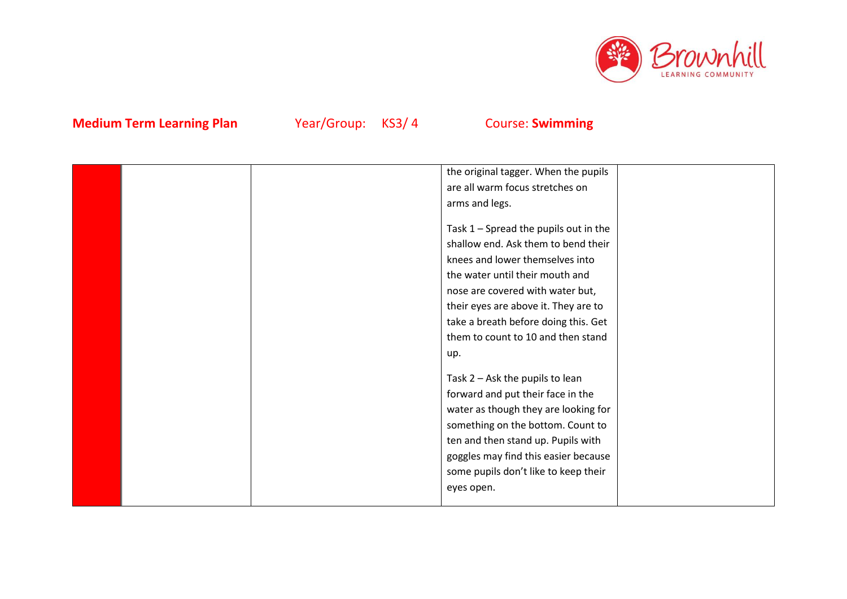

|  | the original tagger. When the pupils    |  |
|--|-----------------------------------------|--|
|  | are all warm focus stretches on         |  |
|  | arms and legs.                          |  |
|  |                                         |  |
|  | Task $1$ – Spread the pupils out in the |  |
|  | shallow end. Ask them to bend their     |  |
|  | knees and lower themselves into         |  |
|  | the water until their mouth and         |  |
|  | nose are covered with water but,        |  |
|  | their eyes are above it. They are to    |  |
|  | take a breath before doing this. Get    |  |
|  | them to count to 10 and then stand      |  |
|  | up.                                     |  |
|  |                                         |  |
|  | Task $2 -$ Ask the pupils to lean       |  |
|  | forward and put their face in the       |  |
|  | water as though they are looking for    |  |
|  | something on the bottom. Count to       |  |
|  | ten and then stand up. Pupils with      |  |
|  | goggles may find this easier because    |  |
|  | some pupils don't like to keep their    |  |
|  |                                         |  |
|  | eyes open.                              |  |
|  |                                         |  |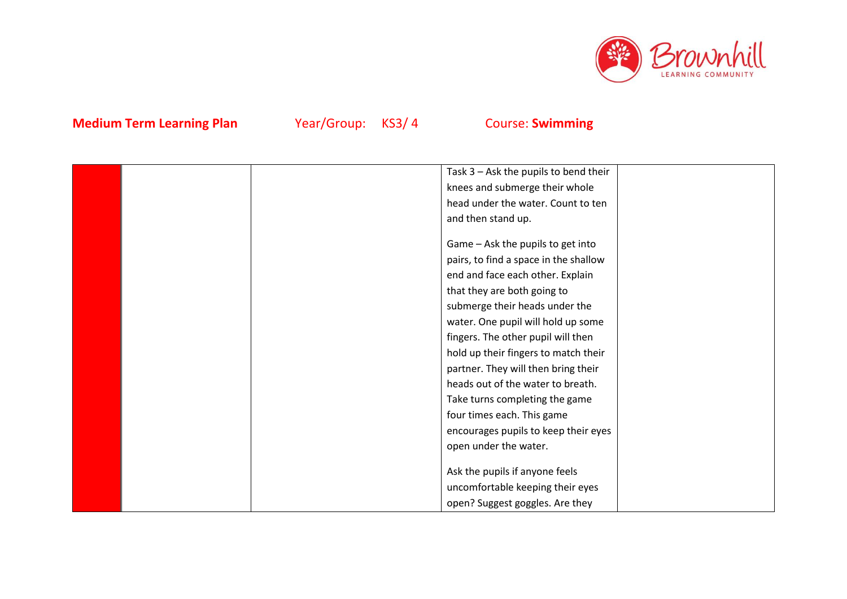

|  | Task 3 - Ask the pupils to bend their |  |
|--|---------------------------------------|--|
|  | knees and submerge their whole        |  |
|  | head under the water. Count to ten    |  |
|  | and then stand up.                    |  |
|  |                                       |  |
|  | Game - Ask the pupils to get into     |  |
|  | pairs, to find a space in the shallow |  |
|  | end and face each other. Explain      |  |
|  | that they are both going to           |  |
|  | submerge their heads under the        |  |
|  | water. One pupil will hold up some    |  |
|  | fingers. The other pupil will then    |  |
|  | hold up their fingers to match their  |  |
|  | partner. They will then bring their   |  |
|  | heads out of the water to breath.     |  |
|  | Take turns completing the game        |  |
|  | four times each. This game            |  |
|  | encourages pupils to keep their eyes  |  |
|  | open under the water.                 |  |
|  |                                       |  |
|  | Ask the pupils if anyone feels        |  |
|  | uncomfortable keeping their eyes      |  |
|  | open? Suggest goggles. Are they       |  |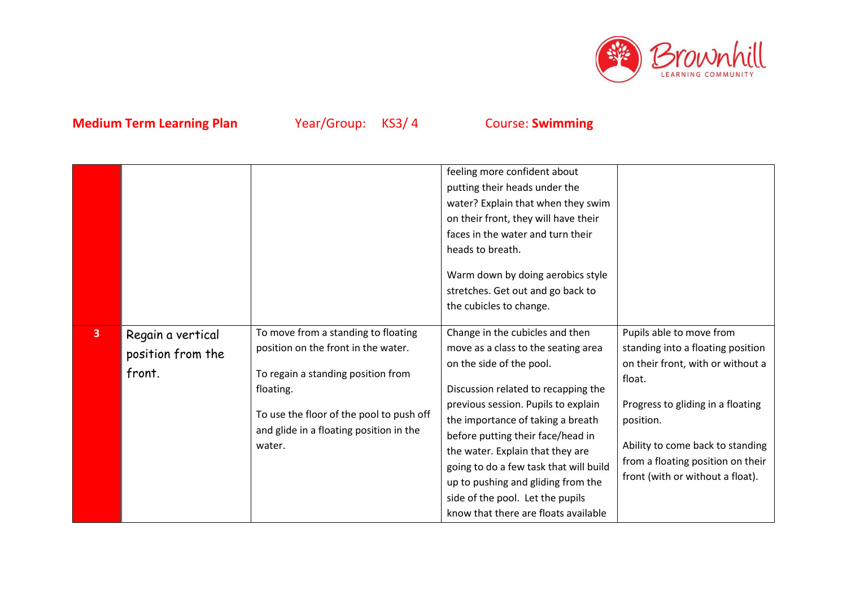

|                |                                                  |                                                                                                                                                                                                                                | feeling more confident about<br>putting their heads under the<br>water? Explain that when they swim<br>on their front, they will have their<br>faces in the water and turn their<br>heads to breath.<br>Warm down by doing aerobics style<br>stretches. Get out and go back to<br>the cubicles to change.                                                                                                                                                  |                                                                                                                                                                                                                                                                             |
|----------------|--------------------------------------------------|--------------------------------------------------------------------------------------------------------------------------------------------------------------------------------------------------------------------------------|------------------------------------------------------------------------------------------------------------------------------------------------------------------------------------------------------------------------------------------------------------------------------------------------------------------------------------------------------------------------------------------------------------------------------------------------------------|-----------------------------------------------------------------------------------------------------------------------------------------------------------------------------------------------------------------------------------------------------------------------------|
| $\overline{3}$ | Regain a vertical<br>position from the<br>front. | To move from a standing to floating<br>position on the front in the water.<br>To regain a standing position from<br>floating.<br>To use the floor of the pool to push off<br>and glide in a floating position in the<br>water. | Change in the cubicles and then<br>move as a class to the seating area<br>on the side of the pool.<br>Discussion related to recapping the<br>previous session. Pupils to explain<br>the importance of taking a breath<br>before putting their face/head in<br>the water. Explain that they are<br>going to do a few task that will build<br>up to pushing and gliding from the<br>side of the pool. Let the pupils<br>know that there are floats available | Pupils able to move from<br>standing into a floating position<br>on their front, with or without a<br>float.<br>Progress to gliding in a floating<br>position.<br>Ability to come back to standing<br>from a floating position on their<br>front (with or without a float). |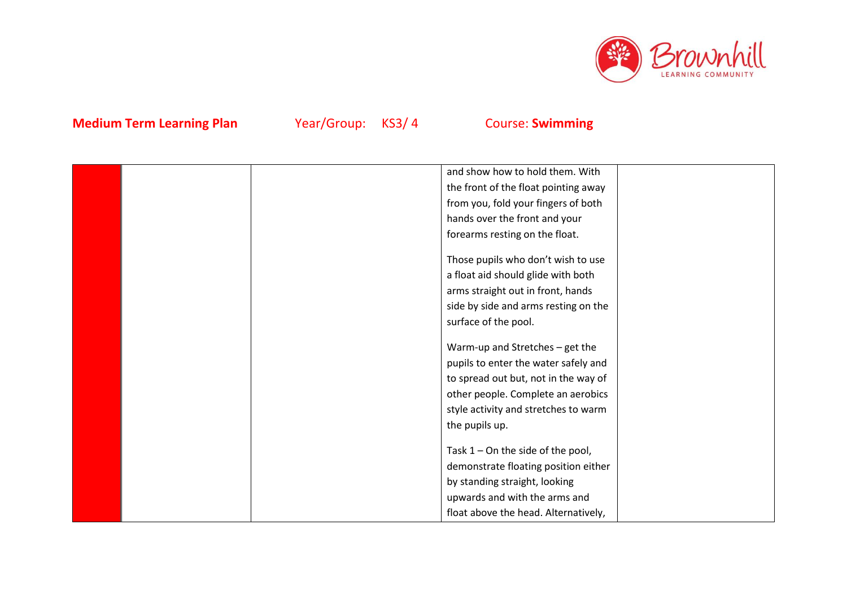

|  | and show how to hold them. With      |  |
|--|--------------------------------------|--|
|  | the front of the float pointing away |  |
|  | from you, fold your fingers of both  |  |
|  | hands over the front and your        |  |
|  | forearms resting on the float.       |  |
|  | Those pupils who don't wish to use   |  |
|  | a float aid should glide with both   |  |
|  | arms straight out in front, hands    |  |
|  | side by side and arms resting on the |  |
|  | surface of the pool.                 |  |
|  | Warm-up and Stretches - get the      |  |
|  | pupils to enter the water safely and |  |
|  | to spread out but, not in the way of |  |
|  | other people. Complete an aerobics   |  |
|  | style activity and stretches to warm |  |
|  | the pupils up.                       |  |
|  |                                      |  |
|  | Task $1 -$ On the side of the pool,  |  |
|  | demonstrate floating position either |  |
|  | by standing straight, looking        |  |
|  | upwards and with the arms and        |  |
|  | float above the head. Alternatively, |  |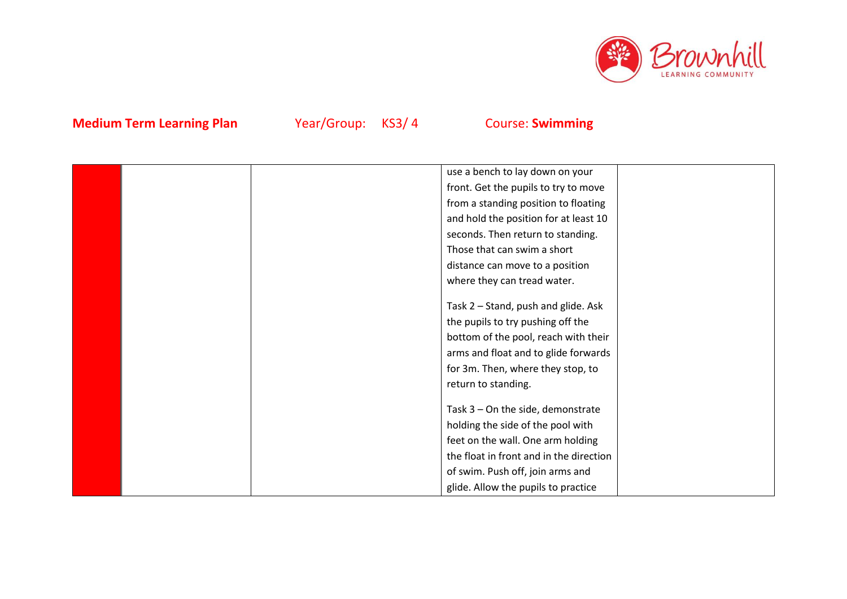

|  | use a bench to lay down on your         |  |
|--|-----------------------------------------|--|
|  | front. Get the pupils to try to move    |  |
|  | from a standing position to floating    |  |
|  | and hold the position for at least 10   |  |
|  | seconds. Then return to standing.       |  |
|  | Those that can swim a short             |  |
|  | distance can move to a position         |  |
|  | where they can tread water.             |  |
|  |                                         |  |
|  | Task 2 - Stand, push and glide. Ask     |  |
|  | the pupils to try pushing off the       |  |
|  | bottom of the pool, reach with their    |  |
|  | arms and float and to glide forwards    |  |
|  | for 3m. Then, where they stop, to       |  |
|  | return to standing.                     |  |
|  |                                         |  |
|  | Task $3$ – On the side, demonstrate     |  |
|  | holding the side of the pool with       |  |
|  | feet on the wall. One arm holding       |  |
|  | the float in front and in the direction |  |
|  | of swim. Push off, join arms and        |  |
|  | glide. Allow the pupils to practice     |  |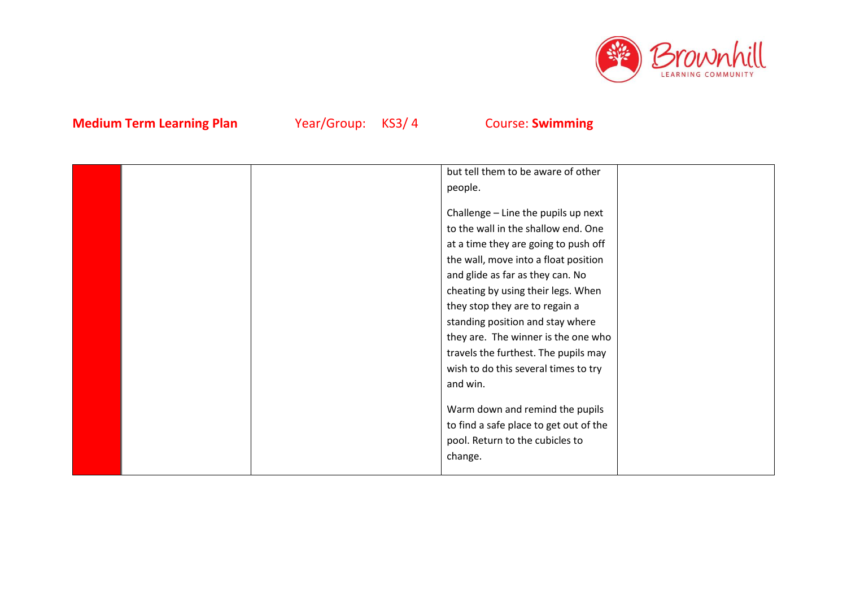

|  | but tell them to be aware of other     |  |
|--|----------------------------------------|--|
|  | people.                                |  |
|  |                                        |  |
|  | Challenge - Line the pupils up next    |  |
|  | to the wall in the shallow end. One    |  |
|  | at a time they are going to push off   |  |
|  | the wall, move into a float position   |  |
|  | and glide as far as they can. No       |  |
|  | cheating by using their legs. When     |  |
|  | they stop they are to regain a         |  |
|  | standing position and stay where       |  |
|  | they are. The winner is the one who    |  |
|  | travels the furthest. The pupils may   |  |
|  | wish to do this several times to try   |  |
|  | and win.                               |  |
|  |                                        |  |
|  | Warm down and remind the pupils        |  |
|  | to find a safe place to get out of the |  |
|  | pool. Return to the cubicles to        |  |
|  | change.                                |  |
|  |                                        |  |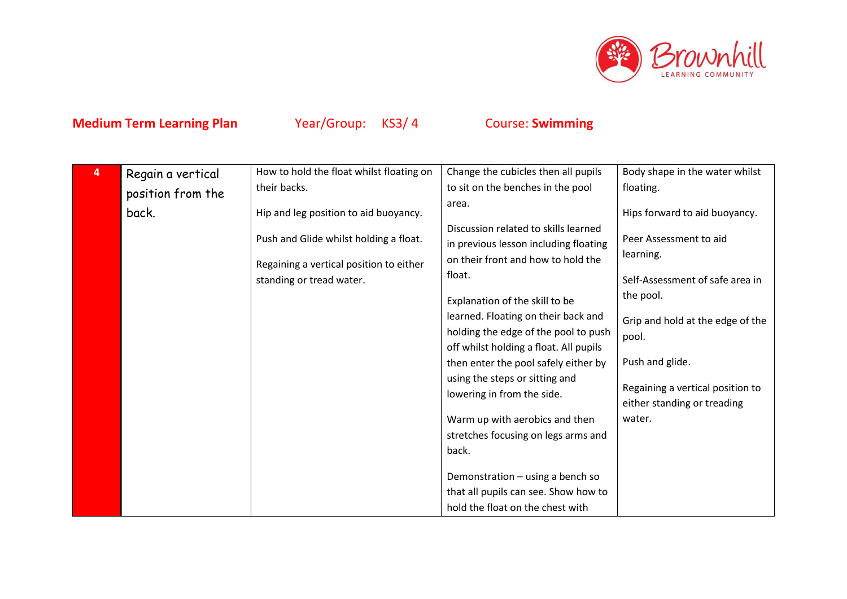

| 4 | Regain a vertical | How to hold the float whilst floating on | Change the cubicles then all pupils                                           | Body shape in the water whilst   |
|---|-------------------|------------------------------------------|-------------------------------------------------------------------------------|----------------------------------|
|   | position from the | their backs.                             | to sit on the benches in the pool                                             | floating.                        |
|   | back.             | Hip and leg position to aid buoyancy.    | area.                                                                         | Hips forward to aid buoyancy.    |
|   |                   | Push and Glide whilst holding a float.   | Discussion related to skills learned<br>in previous lesson including floating | Peer Assessment to aid           |
|   |                   | Regaining a vertical position to either  | on their front and how to hold the                                            | learning.                        |
|   |                   | standing or tread water.                 | float.                                                                        | Self-Assessment of safe area in  |
|   |                   |                                          | Explanation of the skill to be                                                | the pool.                        |
|   |                   |                                          | learned. Floating on their back and                                           | Grip and hold at the edge of the |
|   |                   |                                          | holding the edge of the pool to push                                          | pool.                            |
|   |                   |                                          | off whilst holding a float. All pupils                                        |                                  |
|   |                   |                                          | then enter the pool safely either by                                          | Push and glide.                  |
|   |                   |                                          | using the steps or sitting and                                                | Regaining a vertical position to |
|   |                   |                                          | lowering in from the side.                                                    | either standing or treading      |
|   |                   |                                          | Warm up with aerobics and then                                                | water.                           |
|   |                   |                                          | stretches focusing on legs arms and                                           |                                  |
|   |                   |                                          | back.                                                                         |                                  |
|   |                   |                                          | Demonstration - using a bench so                                              |                                  |
|   |                   |                                          | that all pupils can see. Show how to                                          |                                  |
|   |                   |                                          | hold the float on the chest with                                              |                                  |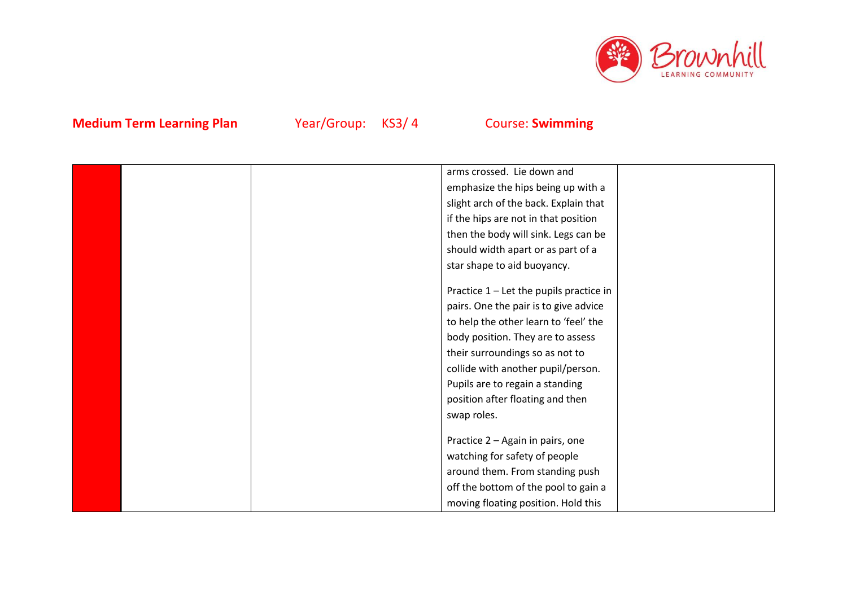

|  | arms crossed. Lie down and              |  |
|--|-----------------------------------------|--|
|  | emphasize the hips being up with a      |  |
|  | slight arch of the back. Explain that   |  |
|  | if the hips are not in that position    |  |
|  | then the body will sink. Legs can be    |  |
|  | should width apart or as part of a      |  |
|  | star shape to aid buoyancy.             |  |
|  |                                         |  |
|  | Practice 1 - Let the pupils practice in |  |
|  | pairs. One the pair is to give advice   |  |
|  | to help the other learn to 'feel' the   |  |
|  | body position. They are to assess       |  |
|  | their surroundings so as not to         |  |
|  | collide with another pupil/person.      |  |
|  | Pupils are to regain a standing         |  |
|  | position after floating and then        |  |
|  | swap roles.                             |  |
|  |                                         |  |
|  | Practice 2 - Again in pairs, one        |  |
|  | watching for safety of people           |  |
|  | around them. From standing push         |  |
|  | off the bottom of the pool to gain a    |  |
|  | moving floating position. Hold this     |  |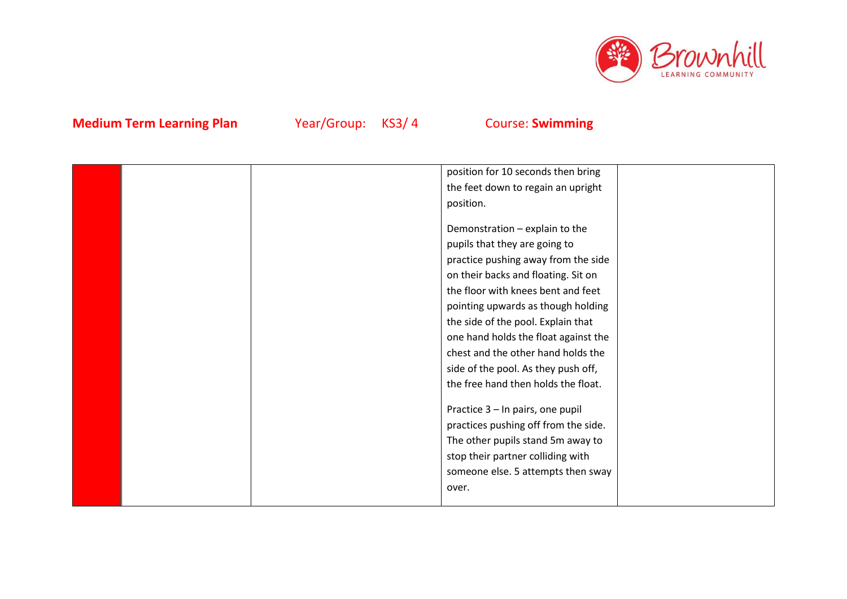

|  | position for 10 seconds then bring   |  |
|--|--------------------------------------|--|
|  | the feet down to regain an upright   |  |
|  | position.                            |  |
|  |                                      |  |
|  | Demonstration - explain to the       |  |
|  | pupils that they are going to        |  |
|  | practice pushing away from the side  |  |
|  | on their backs and floating. Sit on  |  |
|  | the floor with knees bent and feet   |  |
|  | pointing upwards as though holding   |  |
|  | the side of the pool. Explain that   |  |
|  | one hand holds the float against the |  |
|  | chest and the other hand holds the   |  |
|  | side of the pool. As they push off,  |  |
|  | the free hand then holds the float.  |  |
|  |                                      |  |
|  | Practice 3 - In pairs, one pupil     |  |
|  | practices pushing off from the side. |  |
|  | The other pupils stand 5m away to    |  |
|  | stop their partner colliding with    |  |
|  | someone else. 5 attempts then sway   |  |
|  | over.                                |  |
|  |                                      |  |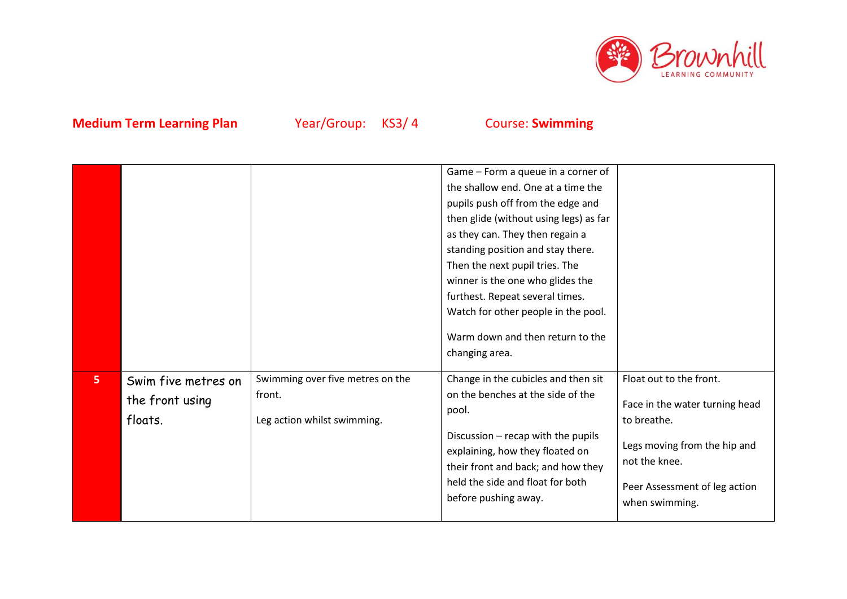

|                |                                                   |                                                                           | Game – Form a queue in a corner of<br>the shallow end. One at a time the<br>pupils push off from the edge and<br>then glide (without using legs) as far<br>as they can. They then regain a<br>standing position and stay there.<br>Then the next pupil tries. The<br>winner is the one who glides the<br>furthest. Repeat several times.<br>Watch for other people in the pool.<br>Warm down and then return to the<br>changing area. |                                                                                                                                                                              |
|----------------|---------------------------------------------------|---------------------------------------------------------------------------|---------------------------------------------------------------------------------------------------------------------------------------------------------------------------------------------------------------------------------------------------------------------------------------------------------------------------------------------------------------------------------------------------------------------------------------|------------------------------------------------------------------------------------------------------------------------------------------------------------------------------|
| 5 <sub>1</sub> | Swim five metres on<br>the front using<br>floats. | Swimming over five metres on the<br>front.<br>Leg action whilst swimming. | Change in the cubicles and then sit<br>on the benches at the side of the<br>pool.<br>Discussion - recap with the pupils<br>explaining, how they floated on<br>their front and back; and how they<br>held the side and float for both<br>before pushing away.                                                                                                                                                                          | Float out to the front.<br>Face in the water turning head<br>to breathe.<br>Legs moving from the hip and<br>not the knee.<br>Peer Assessment of leg action<br>when swimming. |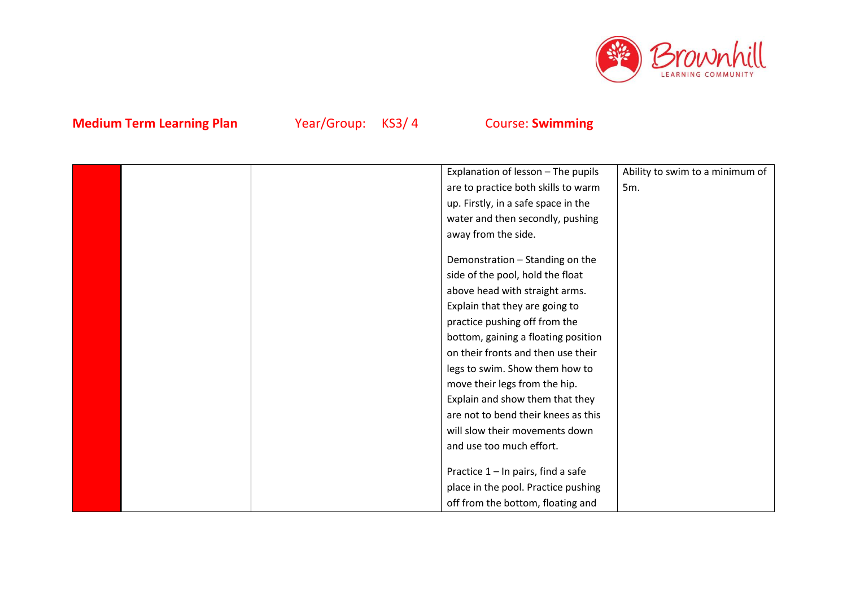

|  | Explanation of lesson - The pupils    | Ability to swim to a minimum of |
|--|---------------------------------------|---------------------------------|
|  | are to practice both skills to warm   | 5m.                             |
|  | up. Firstly, in a safe space in the   |                                 |
|  | water and then secondly, pushing      |                                 |
|  | away from the side.                   |                                 |
|  |                                       |                                 |
|  | Demonstration - Standing on the       |                                 |
|  | side of the pool, hold the float      |                                 |
|  | above head with straight arms.        |                                 |
|  | Explain that they are going to        |                                 |
|  | practice pushing off from the         |                                 |
|  | bottom, gaining a floating position   |                                 |
|  | on their fronts and then use their    |                                 |
|  | legs to swim. Show them how to        |                                 |
|  | move their legs from the hip.         |                                 |
|  | Explain and show them that they       |                                 |
|  | are not to bend their knees as this   |                                 |
|  | will slow their movements down        |                                 |
|  | and use too much effort.              |                                 |
|  |                                       |                                 |
|  | Practice $1 - \ln$ pairs, find a safe |                                 |
|  | place in the pool. Practice pushing   |                                 |
|  | off from the bottom, floating and     |                                 |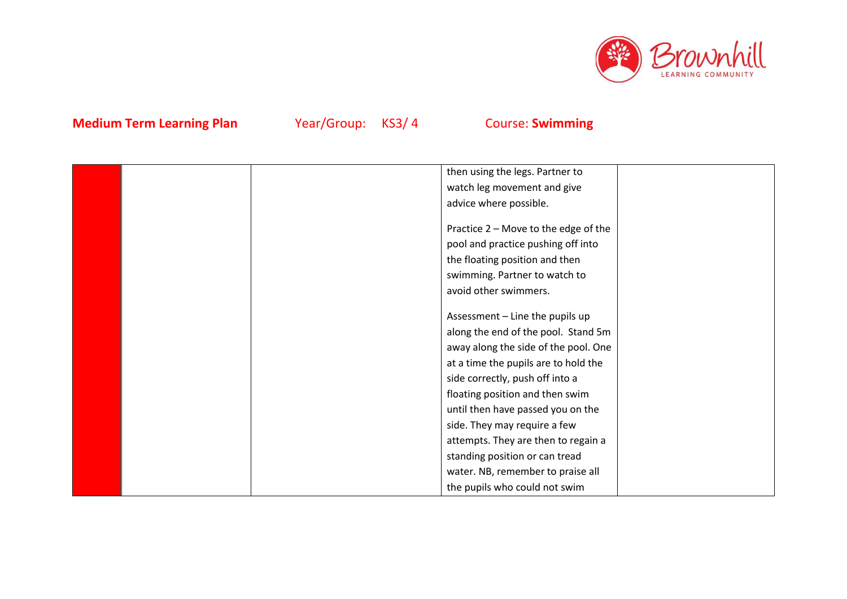

|  | then using the legs. Partner to      |  |
|--|--------------------------------------|--|
|  | watch leg movement and give          |  |
|  | advice where possible.               |  |
|  |                                      |  |
|  | Practice 2 - Move to the edge of the |  |
|  | pool and practice pushing off into   |  |
|  | the floating position and then       |  |
|  | swimming. Partner to watch to        |  |
|  | avoid other swimmers.                |  |
|  |                                      |  |
|  | Assessment - Line the pupils up      |  |
|  | along the end of the pool. Stand 5m  |  |
|  | away along the side of the pool. One |  |
|  | at a time the pupils are to hold the |  |
|  | side correctly, push off into a      |  |
|  | floating position and then swim      |  |
|  | until then have passed you on the    |  |
|  | side. They may require a few         |  |
|  | attempts. They are then to regain a  |  |
|  | standing position or can tread       |  |
|  | water. NB, remember to praise all    |  |
|  | the pupils who could not swim        |  |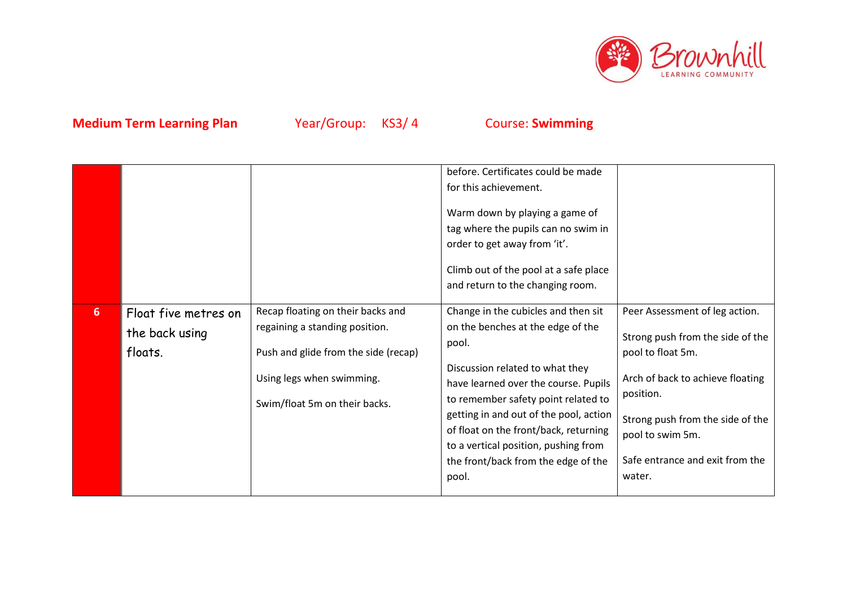

|                |                                                   |                                                                                                                                                                           | before. Certificates could be made<br>for this achievement.<br>Warm down by playing a game of<br>tag where the pupils can no swim in<br>order to get away from 'it'.<br>Climb out of the pool at a safe place<br>and return to the changing room.                                                                                                                              |                                                                                                                                                                                                                                               |
|----------------|---------------------------------------------------|---------------------------------------------------------------------------------------------------------------------------------------------------------------------------|--------------------------------------------------------------------------------------------------------------------------------------------------------------------------------------------------------------------------------------------------------------------------------------------------------------------------------------------------------------------------------|-----------------------------------------------------------------------------------------------------------------------------------------------------------------------------------------------------------------------------------------------|
| 6 <sup>1</sup> | Float five metres on<br>the back using<br>floats. | Recap floating on their backs and<br>regaining a standing position.<br>Push and glide from the side (recap)<br>Using legs when swimming.<br>Swim/float 5m on their backs. | Change in the cubicles and then sit<br>on the benches at the edge of the<br>pool.<br>Discussion related to what they<br>have learned over the course. Pupils<br>to remember safety point related to<br>getting in and out of the pool, action<br>of float on the front/back, returning<br>to a vertical position, pushing from<br>the front/back from the edge of the<br>pool. | Peer Assessment of leg action.<br>Strong push from the side of the<br>pool to float 5m.<br>Arch of back to achieve floating<br>position.<br>Strong push from the side of the<br>pool to swim 5m.<br>Safe entrance and exit from the<br>water. |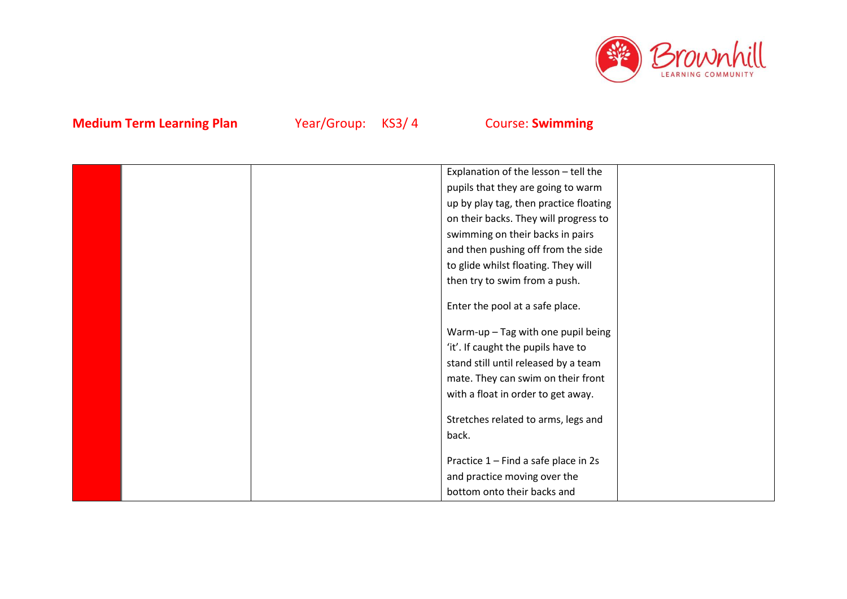

|  | Explanation of the lesson - tell the   |  |
|--|----------------------------------------|--|
|  |                                        |  |
|  | pupils that they are going to warm     |  |
|  | up by play tag, then practice floating |  |
|  | on their backs. They will progress to  |  |
|  | swimming on their backs in pairs       |  |
|  | and then pushing off from the side     |  |
|  | to glide whilst floating. They will    |  |
|  | then try to swim from a push.          |  |
|  |                                        |  |
|  | Enter the pool at a safe place.        |  |
|  | Warm-up - Tag with one pupil being     |  |
|  | 'it'. If caught the pupils have to     |  |
|  | stand still until released by a team   |  |
|  | mate. They can swim on their front     |  |
|  | with a float in order to get away.     |  |
|  |                                        |  |
|  | Stretches related to arms, legs and    |  |
|  | back.                                  |  |
|  | Practice 1 - Find a safe place in 2s   |  |
|  | and practice moving over the           |  |
|  |                                        |  |
|  | bottom onto their backs and            |  |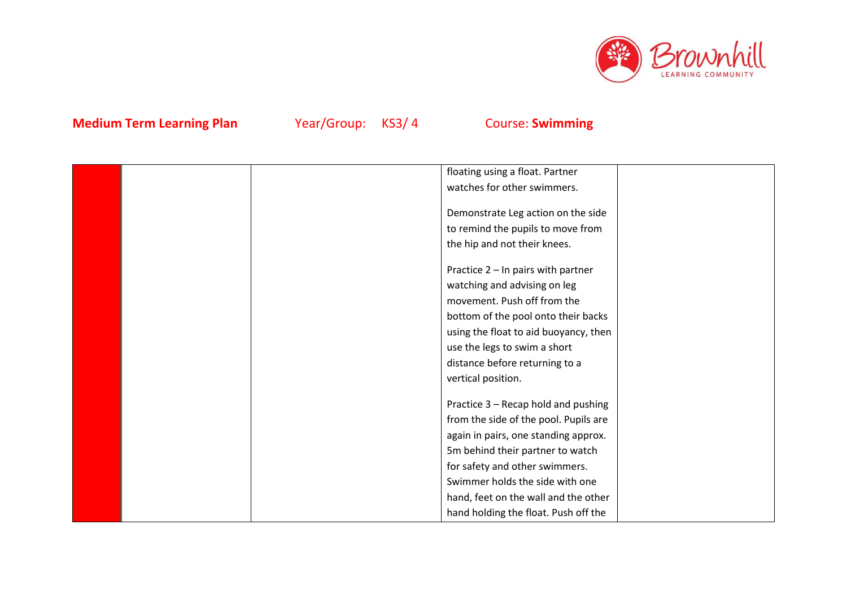

|  | floating using a float. Partner       |  |
|--|---------------------------------------|--|
|  | watches for other swimmers.           |  |
|  |                                       |  |
|  | Demonstrate Leg action on the side    |  |
|  | to remind the pupils to move from     |  |
|  | the hip and not their knees.          |  |
|  | Practice 2 - In pairs with partner    |  |
|  | watching and advising on leg          |  |
|  | movement. Push off from the           |  |
|  | bottom of the pool onto their backs   |  |
|  |                                       |  |
|  | using the float to aid buoyancy, then |  |
|  | use the legs to swim a short          |  |
|  | distance before returning to a        |  |
|  | vertical position.                    |  |
|  | Practice 3 - Recap hold and pushing   |  |
|  | from the side of the pool. Pupils are |  |
|  | again in pairs, one standing approx.  |  |
|  | 5m behind their partner to watch      |  |
|  |                                       |  |
|  | for safety and other swimmers.        |  |
|  | Swimmer holds the side with one       |  |
|  | hand, feet on the wall and the other  |  |
|  | hand holding the float. Push off the  |  |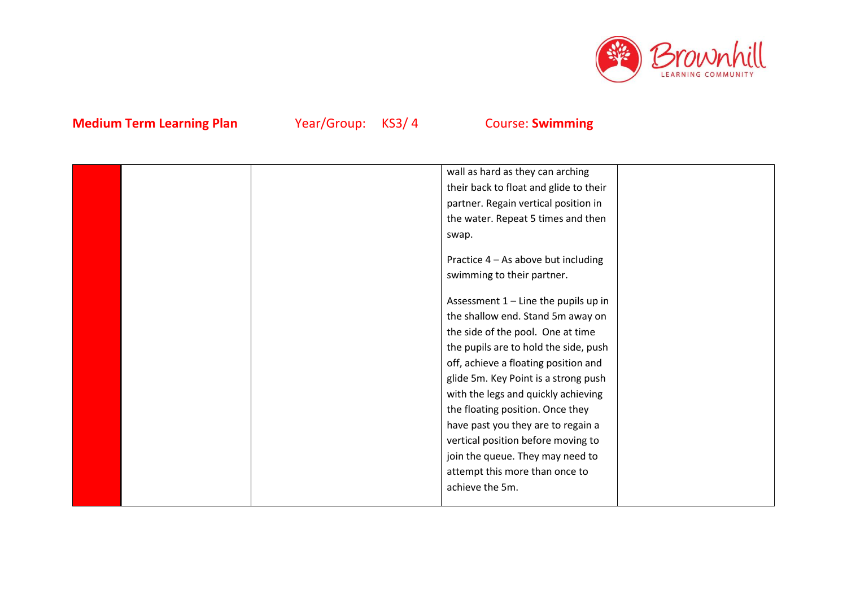

|  | wall as hard as they can arching       |  |
|--|----------------------------------------|--|
|  | their back to float and glide to their |  |
|  | partner. Regain vertical position in   |  |
|  | the water. Repeat 5 times and then     |  |
|  | swap.                                  |  |
|  |                                        |  |
|  | Practice 4 – As above but including    |  |
|  | swimming to their partner.             |  |
|  |                                        |  |
|  | Assessment 1 - Line the pupils up in   |  |
|  | the shallow end. Stand 5m away on      |  |
|  | the side of the pool. One at time      |  |
|  | the pupils are to hold the side, push  |  |
|  | off, achieve a floating position and   |  |
|  | glide 5m. Key Point is a strong push   |  |
|  | with the legs and quickly achieving    |  |
|  | the floating position. Once they       |  |
|  | have past you they are to regain a     |  |
|  | vertical position before moving to     |  |
|  | join the queue. They may need to       |  |
|  | attempt this more than once to         |  |
|  | achieve the 5m.                        |  |
|  |                                        |  |